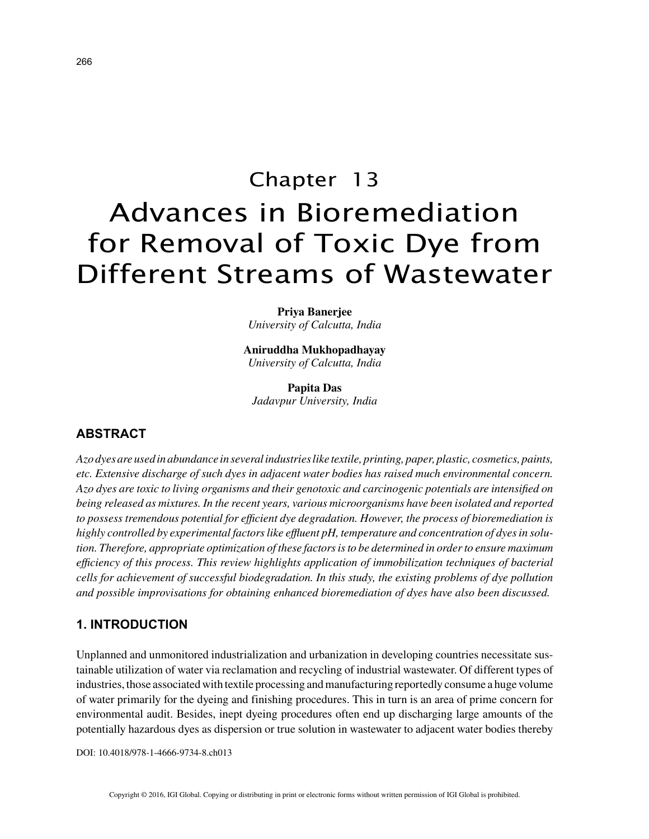# Chapter 13 Advances in Bioremediation for Removal of Toxic Dye from Different Streams of Wastewater

**Priya Banerjee** *University of Calcutta, India*

**Aniruddha Mukhopadhayay** *University of Calcutta, India*

**Papita Das** *Jadavpur University, India*

## **ABSTRACT**

*Azo dyes are used in abundance in several industries like textile, printing, paper, plastic, cosmetics, paints, etc. Extensive discharge of such dyes in adjacent water bodies has raised much environmental concern. Azo dyes are toxic to living organisms and their genotoxic and carcinogenic potentials are intensified on being released as mixtures. In the recent years, various microorganisms have been isolated and reported to possess tremendous potential for efficient dye degradation. However, the process of bioremediation is highly controlled by experimental factors like effluent pH, temperature and concentration of dyes in solution. Therefore, appropriate optimization of these factors is to be determined in order to ensure maximum efficiency of this process. This review highlights application of immobilization techniques of bacterial cells for achievement of successful biodegradation. In this study, the existing problems of dye pollution and possible improvisations for obtaining enhanced bioremediation of dyes have also been discussed.*

## **1. INTRODUCTION**

Unplanned and unmonitored industrialization and urbanization in developing countries necessitate sustainable utilization of water via reclamation and recycling of industrial wastewater. Of different types of industries, those associated with textile processing and manufacturing reportedly consume a huge volume of water primarily for the dyeing and finishing procedures. This in turn is an area of prime concern for environmental audit. Besides, inept dyeing procedures often end up discharging large amounts of the potentially hazardous dyes as dispersion or true solution in wastewater to adjacent water bodies thereby

DOI: 10.4018/978-1-4666-9734-8.ch013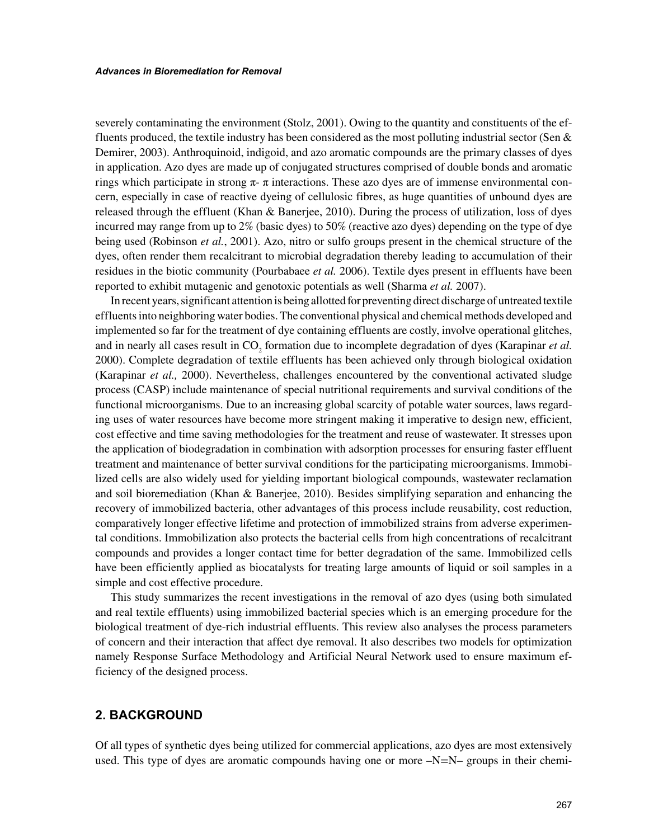severely contaminating the environment (Stolz, 2001). Owing to the quantity and constituents of the effluents produced, the textile industry has been considered as the most polluting industrial sector (Sen  $\&$ Demirer, 2003). Anthroquinoid, indigoid, and azo aromatic compounds are the primary classes of dyes in application. Azo dyes are made up of conjugated structures comprised of double bonds and aromatic rings which participate in strong  $\pi$ -  $\pi$  interactions. These azo dyes are of immense environmental concern, especially in case of reactive dyeing of cellulosic fibres, as huge quantities of unbound dyes are released through the effluent (Khan & Banerjee, 2010). During the process of utilization, loss of dyes incurred may range from up to 2% (basic dyes) to 50% (reactive azo dyes) depending on the type of dye being used (Robinson *et al.*, 2001). Azo, nitro or sulfo groups present in the chemical structure of the dyes, often render them recalcitrant to microbial degradation thereby leading to accumulation of their residues in the biotic community (Pourbabaee *et al.* 2006). Textile dyes present in effluents have been reported to exhibit mutagenic and genotoxic potentials as well (Sharma *et al.* 2007).

In recent years, significant attention is being allotted for preventing direct discharge of untreated textile effluents into neighboring water bodies. The conventional physical and chemical methods developed and implemented so far for the treatment of dye containing effluents are costly, involve operational glitches, and in nearly all cases result in  $CO_2$  formation due to incomplete degradation of dyes (Karapinar *et al.*) 2000). Complete degradation of textile effluents has been achieved only through biological oxidation (Karapinar *et al.,* 2000). Nevertheless, challenges encountered by the conventional activated sludge process (CASP) include maintenance of special nutritional requirements and survival conditions of the functional microorganisms. Due to an increasing global scarcity of potable water sources, laws regarding uses of water resources have become more stringent making it imperative to design new, efficient, cost effective and time saving methodologies for the treatment and reuse of wastewater. It stresses upon the application of biodegradation in combination with adsorption processes for ensuring faster effluent treatment and maintenance of better survival conditions for the participating microorganisms. Immobilized cells are also widely used for yielding important biological compounds, wastewater reclamation and soil bioremediation (Khan & Banerjee, 2010). Besides simplifying separation and enhancing the recovery of immobilized bacteria, other advantages of this process include reusability, cost reduction, comparatively longer effective lifetime and protection of immobilized strains from adverse experimental conditions. Immobilization also protects the bacterial cells from high concentrations of recalcitrant compounds and provides a longer contact time for better degradation of the same. Immobilized cells have been efficiently applied as biocatalysts for treating large amounts of liquid or soil samples in a simple and cost effective procedure.

This study summarizes the recent investigations in the removal of azo dyes (using both simulated and real textile effluents) using immobilized bacterial species which is an emerging procedure for the biological treatment of dye-rich industrial effluents. This review also analyses the process parameters of concern and their interaction that affect dye removal. It also describes two models for optimization namely Response Surface Methodology and Artificial Neural Network used to ensure maximum efficiency of the designed process.

### **2. BACKGROUND**

Of all types of synthetic dyes being utilized for commercial applications, azo dyes are most extensively used. This type of dyes are aromatic compounds having one or more  $-N=N-$  groups in their chemi-